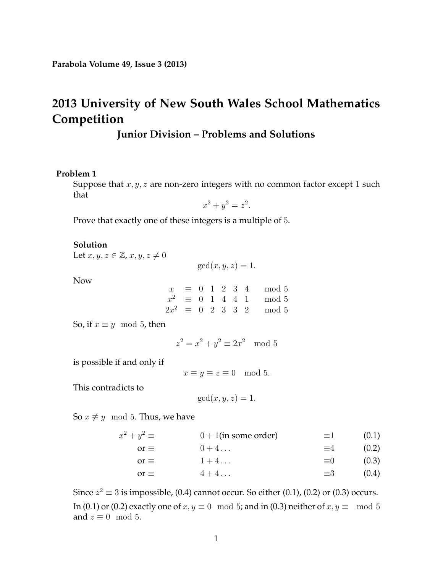# **2013 University of New South Wales School Mathematics Competition**

## **Junior Division – Problems and Solutions**

#### **Problem 1**

Suppose that  $x, y, z$  are non-zero integers with no common factor except 1 such that

$$
x^2 + y^2 = z^2.
$$

Prove that exactly one of these integers is a multiple of 5.

#### **Solution**

Let  $x, y, z \in \mathbb{Z}$ ,  $x, y, z \neq 0$ 

 $gcd(x, y, z) = 1.$ 

Now

|  |  |  | $x \equiv 0 \quad 1 \quad 2 \quad 3 \quad 4 \quad \mod 5$    |
|--|--|--|--------------------------------------------------------------|
|  |  |  | $x^2 \equiv 0 \quad 1 \quad 4 \quad 4 \quad 1 \quad \mod 5$  |
|  |  |  | $2x^2 \equiv 0 \quad 2 \quad 3 \quad 3 \quad 2 \quad \mod 5$ |

So, if  $x \equiv y \mod 5$ , then

$$
z^2 = x^2 + y^2 \equiv 2x^2 \mod 5
$$

is possible if and only if

 $x \equiv y \equiv z \equiv 0 \mod 5$ .

This contradicts to

<span id="page-0-3"></span><span id="page-0-2"></span><span id="page-0-1"></span><span id="page-0-0"></span>
$$
\gcd(x, y, z) = 1.
$$

So  $x \not\equiv y \mod 5$ . Thus, we have

| $x^2 + y^2 \equiv$ | $0 + 1$ (in some order) | $\equiv$ 1  | (0.1) |
|--------------------|-------------------------|-------------|-------|
| $or \equiv$        | $0+4$                   | $\equiv$ 4  | (0.2) |
| $or \equiv$        | $1+4$                   | $\equiv$ () | (0.3) |
| $or \equiv$        | $4 + 4$                 | $\equiv$ 3  | (0.4) |

Since  $z^2 \equiv 3$  is impossible, [\(0.4\)](#page-0-0) cannot occur. So either [\(0.1\)](#page-0-1), [\(0.2\)](#page-0-2) or [\(0.3\)](#page-0-3) occurs. In [\(0.1\)](#page-0-1) or [\(0.2\)](#page-0-2) exactly one of  $x, y \equiv 0 \mod 5$ ; and in [\(0.3\)](#page-0-3) neither of  $x, y \equiv \mod 5$ and  $z \equiv 0 \mod 5$ .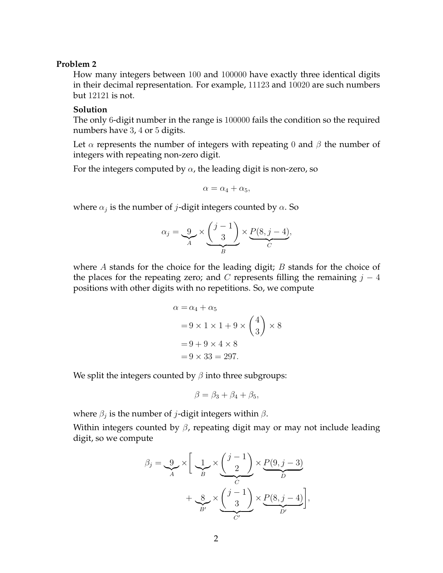### **Problem 2**

How many integers between 100 and 100000 have exactly three identical digits in their decimal representation. For example, 11123 and 10020 are such numbers but 12121 is not.

#### **Solution**

The only 6-digit number in the range is 100000 fails the condition so the required numbers have 3, 4 or 5 digits.

Let  $\alpha$  represents the number of integers with repeating 0 and  $\beta$  the number of integers with repeating non-zero digit.

For the integers computed by  $\alpha$ , the leading digit is non-zero, so

$$
\alpha = \alpha_4 + \alpha_5,
$$

where  $\alpha_j$  is the number of  $j$ -digit integers counted by  $\alpha.$  So

$$
\alpha_j = \underbrace{9}_{A} \times \underbrace{\binom{j-1}{3}}_{B} \times \underbrace{P(8, j-4)}_{C},
$$

where A stands for the choice for the leading digit;  $B$  stands for the choice of the places for the repeating zero; and C represents filling the remaining  $j - 4$ positions with other digits with no repetitions. So, we compute

$$
\alpha = \alpha_4 + \alpha_5
$$
  
= 9 \times 1 \times 1 + 9 \times \binom{4}{3} \times 8  
= 9 + 9 \times 4 \times 8  
= 9 \times 33 = 297.

We split the integers counted by  $\beta$  into three subgroups:

$$
\beta = \beta_3 + \beta_4 + \beta_5,
$$

where  $\beta_j$  is the number of  $j$ -digit integers within  $\beta.$ 

Within integers counted by  $\beta$ , repeating digit may or may not include leading digit, so we compute

$$
\beta_j = \underbrace{9}_{A} \times \left[ \underbrace{1}_{B} \times \underbrace{\binom{j-1}{2}}_{C} \times \underbrace{P(9, j-3)}_{D} + \underbrace{8}_{B'} \times \underbrace{\binom{j-1}{3}}_{C'} \times \underbrace{P(8, j-4)}_{D'} \right],
$$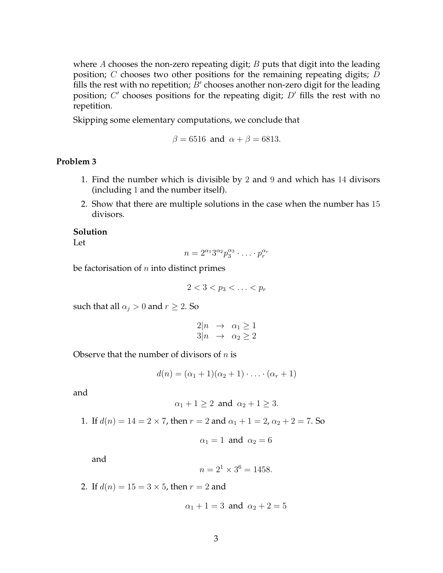where  $A$  chooses the non-zero repeating digit;  $B$  puts that digit into the leading position; C chooses two other positions for the remaining repeating digits; D fills the rest with no repetition;  $B'$  chooses another non-zero digit for the leading position;  $C'$  chooses positions for the repeating digit;  $D'$  fills the rest with no repetition.

Skipping some elementary computations, we conclude that

$$
\beta = 6516 \text{ and } \alpha + \beta = 6813.
$$

#### **Problem 3**

- 1. Find the number which is divisible by 2 and 9 and which has 14 divisors (including 1 and the number itself).
- 2. Show that there are multiple solutions in the case when the number has 15 divisors.

#### **Solution**

Let

$$
n = 2^{\alpha_1} 3^{\alpha_2} p_3^{\alpha_3} \cdot \ldots \cdot p_r^{\alpha_r}
$$

be factorisation of  $n$  into distinct primes

 $2 < 3 < p_3 < \ldots < p_r$ 

such that all  $\alpha_i > 0$  and  $r \geq 2$ . So

$$
2|n \rightarrow \alpha_1 \ge 1
$$
  

$$
3|n \rightarrow \alpha_2 \ge 2
$$

Observe that the number of divisors of  $n$  is

$$
d(n) = (\alpha_1 + 1)(\alpha_2 + 1) \cdot \ldots \cdot (\alpha_r + 1)
$$

and

$$
\alpha_1 + 1 \ge 2 \text{ and } \alpha_2 + 1 \ge 3.
$$

1. If  $d(n) = 14 = 2 \times 7$ , then  $r = 2$  and  $\alpha_1 + 1 = 2$ ,  $\alpha_2 + 2 = 7$ . So

$$
\alpha_1=1 \text{ and } \alpha_2=6
$$

and

$$
n = 2^1 \times 3^6 = 1458.
$$

2. If  $d(n) = 15 = 3 \times 5$ , then  $r = 2$  and

$$
\alpha_1 + 1 = 3 \text{ and } \alpha_2 + 2 = 5
$$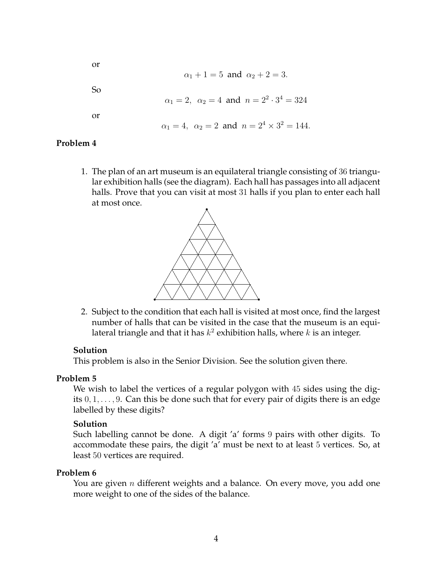or

$$
\alpha_1 + 1 = 5
$$
 and  $\alpha_2 + 2 = 3$ .

So

$$
\alpha_1 = 2
$$
,  $\alpha_2 = 4$  and  $n = 2^2 \cdot 3^4 = 324$ 

or

$$
\alpha_1 = 4
$$
,  $\alpha_2 = 2$  and  $n = 2^4 \times 3^2 = 144$ .

## **Problem 4**

1. The plan of an art museum is an equilateral triangle consisting of 36 triangular exhibition halls (see the diagram). Each hall has passages into all adjacent halls. Prove that you can visit at most 31 halls if you plan to enter each hall at most once.



2. Subject to the condition that each hall is visited at most once, find the largest number of halls that can be visited in the case that the museum is an equilateral triangle and that it has  $k^2$  exhibition halls, where  $k$  is an integer.

### **Solution**

This problem is also in the Senior Division. See the solution given there.

## **Problem 5**

We wish to label the vertices of a regular polygon with 45 sides using the digits  $0, 1, \ldots, 9$ . Can this be done such that for every pair of digits there is an edge labelled by these digits?

## **Solution**

Such labelling cannot be done. A digit 'a' forms 9 pairs with other digits. To accommodate these pairs, the digit 'a' must be next to at least 5 vertices. So, at least 50 vertices are required.

## **Problem 6**

You are given  $n$  different weights and a balance. On every move, you add one more weight to one of the sides of the balance.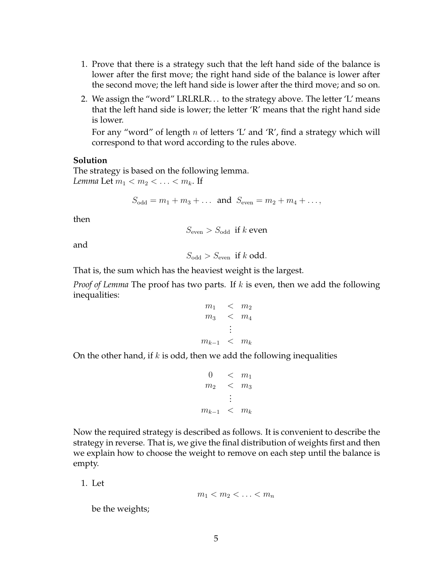- 1. Prove that there is a strategy such that the left hand side of the balance is lower after the first move; the right hand side of the balance is lower after the second move; the left hand side is lower after the third move; and so on.
- 2. We assign the "word" LRLRLR. . . to the strategy above. The letter 'L' means that the left hand side is lower; the letter 'R' means that the right hand side is lower.

For any "word" of length n of letters 'L' and 'R', find a strategy which will correspond to that word according to the rules above.

#### **Solution**

The strategy is based on the following lemma. *Lemma* Let  $m_1 < m_2 < \ldots < m_k$ . If

$$
S_{\text{odd}} = m_1 + m_3 + \dots
$$
 and  $S_{\text{even}} = m_2 + m_4 + \dots$ ,

then

$$
S_{\text{even}} > S_{\text{odd}}
$$
 if *k* even

and

$$
S_{\text{odd}} > S_{\text{even}} \text{ if } k \text{ odd.}
$$

That is, the sum which has the heaviest weight is the largest.

*Proof of Lemma* The proof has two parts. If k is even, then we add the following inequalities:

$$
m_1 < m_2 \n m_3 < m_4 \n \vdots \n m_{k-1} < m_k
$$

On the other hand, if  $k$  is odd, then we add the following inequalities

$$
0 < m_1
$$
\n
$$
m_2 < m_3
$$
\n
$$
\vdots
$$
\n
$$
m_{k-1} < m_k
$$

Now the required strategy is described as follows. It is convenient to describe the strategy in reverse. That is, we give the final distribution of weights first and then we explain how to choose the weight to remove on each step until the balance is empty.

1. Let

$$
m_1 < m_2 < \ldots < m_n
$$

be the weights;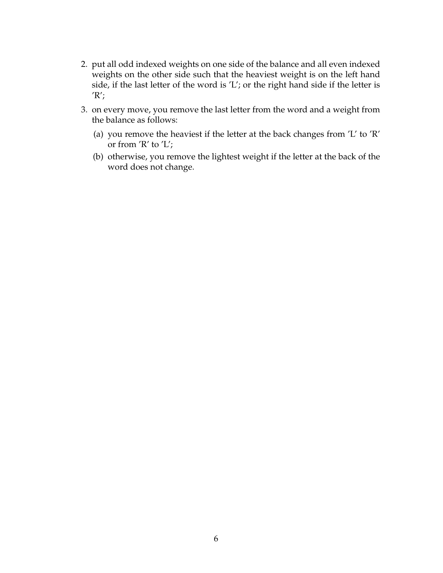- 2. put all odd indexed weights on one side of the balance and all even indexed weights on the other side such that the heaviest weight is on the left hand side, if the last letter of the word is 'L'; or the right hand side if the letter is  $'R$ ;
- 3. on every move, you remove the last letter from the word and a weight from the balance as follows:
	- (a) you remove the heaviest if the letter at the back changes from 'L' to 'R' or from 'R' to 'L';
	- (b) otherwise, you remove the lightest weight if the letter at the back of the word does not change.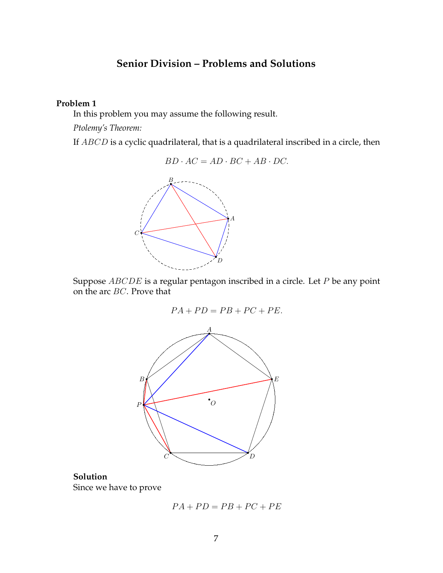## **Senior Division – Problems and Solutions**

### **Problem 1**

In this problem you may assume the following result.

*Ptolemy's Theorem:*

If ABCD is a cyclic quadrilateral, that is a quadrilateral inscribed in a circle, then

 $BD \cdot AC = AD \cdot BC + AB \cdot DC.$ 



Suppose  $ABCDE$  is a regular pentagon inscribed in a circle. Let  $P$  be any point on the arc BC. Prove that

$$
PA + PD = PB + PC + PE.
$$



## **Solution** Since we have to prove

$$
PA + PD = PB + PC + PE
$$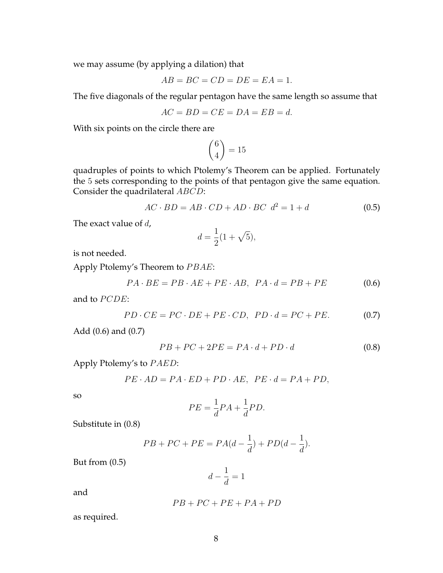we may assume (by applying a dilation) that

$$
AB = BC = CD = DE = EA = 1.
$$

The five diagonals of the regular pentagon have the same length so assume that

$$
AC = BD = CE = DA = EB = d.
$$

With six points on the circle there are

$$
\binom{6}{4} = 15
$$

quadruples of points to which Ptolemy's Theorem can be applied. Fortunately the 5 sets corresponding to the points of that pentagon give the same equation. Consider the quadrilateral ABCD:

<span id="page-7-3"></span>
$$
AC \cdot BD = AB \cdot CD + AD \cdot BC \ d^2 = 1 + d \tag{0.5}
$$

The exact value of  $d$ ,

$$
d = \frac{1}{2}(1 + \sqrt{5}),
$$

is not needed.

Apply Ptolemy's Theorem to PBAE:

<span id="page-7-0"></span>
$$
PA \cdot BE = PB \cdot AE + PE \cdot AB, PA \cdot d = PB + PE \tag{0.6}
$$

and to PCDE:

<span id="page-7-1"></span>
$$
PD \cdot CE = PC \cdot DE + PE \cdot CD, \ PD \cdot d = PC + PE. \tag{0.7}
$$

Add [\(0.6\)](#page-7-0) and [\(0.7\)](#page-7-1)

<span id="page-7-2"></span>
$$
PB + PC + 2PE = PA \cdot d + PD \cdot d \tag{0.8}
$$

Apply Ptolemy's to  $PAED$ :

$$
PE \cdot AD = PA \cdot ED + PD \cdot AE, PE \cdot d = PA + PD,
$$

so

$$
PE = \frac{1}{d}PA + \frac{1}{d}PD.
$$

Substitute in [\(0.8\)](#page-7-2)

$$
PB + PC + PE = PA(d - \frac{1}{d}) + PD(d - \frac{1}{d}).
$$

But from [\(0.5\)](#page-7-3)

$$
d - \frac{1}{d} = 1
$$

and

$$
PB+PC+PE+PA+PD
$$

as required.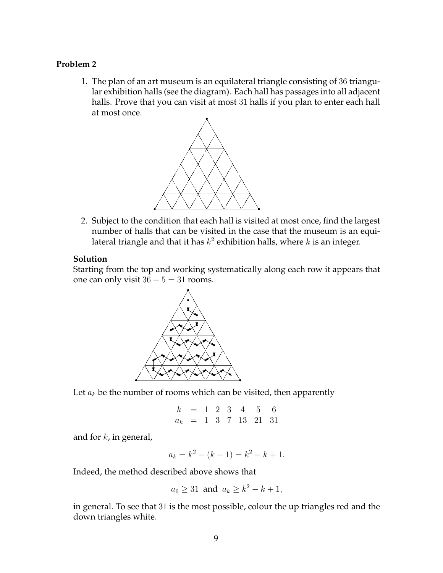### **Problem 2**

1. The plan of an art museum is an equilateral triangle consisting of 36 triangular exhibition halls (see the diagram). Each hall has passages into all adjacent halls. Prove that you can visit at most 31 halls if you plan to enter each hall at most once.



2. Subject to the condition that each hall is visited at most once, find the largest number of halls that can be visited in the case that the museum is an equilateral triangle and that it has  $k^2$  exhibition halls, where  $k$  is an integer.

### **Solution**

Starting from the top and working systematically along each row it appears that one can only visit  $36 - 5 = 31$  rooms.



Let  $a_k$  be the number of rooms which can be visited, then apparently

$$
k = 1 \t2 \t3 \t4 \t5 \t6
$$
  

$$
a_k = 1 \t3 \t7 \t13 \t21 \t31
$$

and for  $k$ , in general,

$$
a_k = k^2 - (k - 1) = k^2 - k + 1.
$$

Indeed, the method described above shows that

$$
a_6 \ge 31
$$
 and  $a_k \ge k^2 - k + 1$ ,

in general. To see that 31 is the most possible, colour the up triangles red and the down triangles white.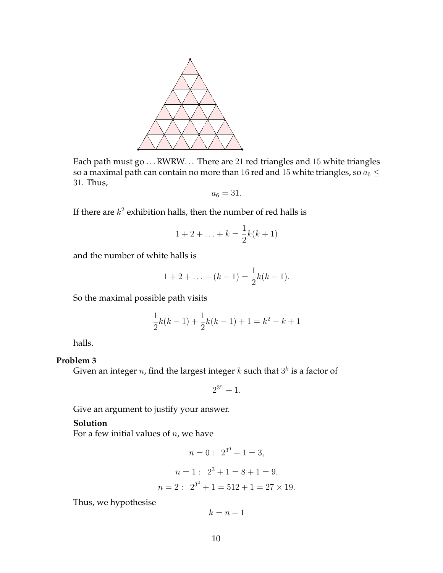

Each path must go ... RWRW... There are 21 red triangles and 15 white triangles so a maximal path can contain no more than 16 red and 15 white triangles, so  $a_6 \leq$ 31. Thus,

$$
a_6=31.
$$

If there are  $k^2$  exhibition halls, then the number of red halls is

$$
1 + 2 + \ldots + k = \frac{1}{2}k(k+1)
$$

and the number of white halls is

$$
1 + 2 + \ldots + (k - 1) = \frac{1}{2}k(k - 1).
$$

So the maximal possible path visits

$$
\frac{1}{2}k(k-1) + \frac{1}{2}k(k-1) + 1 = k^2 - k + 1
$$

halls.

## **Problem 3**

Given an integer  $n$ , find the largest integer  $k$  such that  $3^k$  is a factor of

 $2^{3^n}+1$ .

Give an argument to justify your answer.

#### **Solution**

For a few initial values of  $n$ , we have

$$
n = 0: 2^{3^0} + 1 = 3,
$$
  

$$
n = 1: 2^3 + 1 = 8 + 1 = 9,
$$

$$
n = 2: \ 2^{3^2} + 1 = 512 + 1 = 27 \times 19.
$$

Thus, we hypothesise

 $k = n + 1$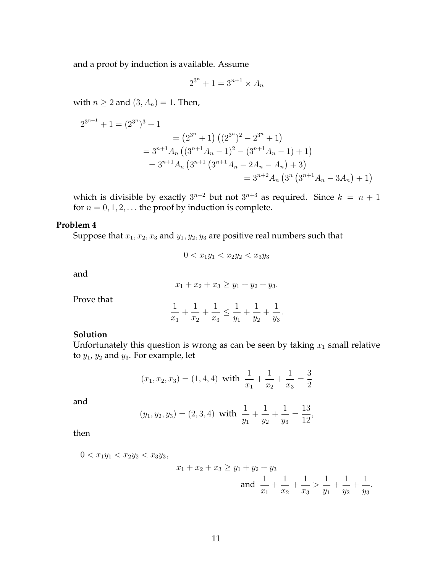and a proof by induction is available. Assume

$$
2^{3^n} + 1 = 3^{n+1} \times A_n
$$

with  $n \geq 2$  and  $(3, A_n) = 1$ . Then,

$$
2^{3^{n+1}} + 1 = (2^{3^n})^3 + 1
$$
  
=  $(2^{3^n} + 1) ((2^{3^n})^2 - 2^{3^n} + 1)$   
=  $3^{n+1}A_n ((3^{n+1}A_n - 1)^2 - (3^{n+1}A_n - 1) + 1)$   
=  $3^{n+1}A_n (3^{n+1} (3^{n+1}A_n - 2A_n - A_n) + 3)$   
=  $3^{n+2}A_n (3^n (3^{n+1}A_n - 3A_n) + 1)$ 

which is divisible by exactly  $3^{n+2}$  but not  $3^{n+3}$  as required. Since  $k = n + 1$ for  $n = 0, 1, 2, \ldots$  the proof by induction is complete.

#### **Problem 4**

Suppose that  $x_1, x_2, x_3$  and  $y_1, y_2, y_3$  are positive real numbers such that

$$
0 < x_1 y_1 < x_2 y_2 < x_3 y_3
$$

and

 $x_1 + x_2 + x_3 \ge y_1 + y_2 + y_3.$ 

Prove that

$$
\frac{1}{x_1} + \frac{1}{x_2} + \frac{1}{x_3} \le \frac{1}{y_1} + \frac{1}{y_2} + \frac{1}{y_3}.
$$

## **Solution**

Unfortunately this question is wrong as can be seen by taking  $x_1$  small relative to  $y_1$ ,  $y_2$  and  $y_3$ . For example, let

$$
(x_1, x_2, x_3) = (1, 4, 4)
$$
 with  $\frac{1}{x_1} + \frac{1}{x_2} + \frac{1}{x_3} = \frac{3}{2}$ 

and

$$
(y_1, y_2, y_3) = (2, 3, 4)
$$
 with  $\frac{1}{y_1} + \frac{1}{y_2} + \frac{1}{y_3} = \frac{13}{12}$ ,

then

 $0 < x_1y_1 < x_2y_2 < x_3y_3$ ,

$$
x_1 + x_2 + x_3 \ge y_1 + y_2 + y_3
$$
  
and  $\frac{1}{x_1} + \frac{1}{x_2} + \frac{1}{x_3} > \frac{1}{y_1} + \frac{1}{y_2} + \frac{1}{y_3}$ .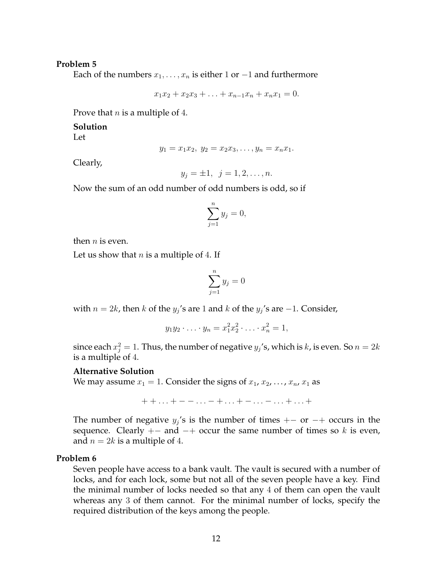## **Problem 5**

Each of the numbers  $x_1, \ldots, x_n$  is either 1 or  $-1$  and furthermore

$$
x_1x_2 + x_2x_3 + \ldots + x_{n-1}x_n + x_nx_1 = 0.
$$

Prove that  $n$  is a multiple of 4.

#### **Solution**

Let

$$
y_1 = x_1 x_2, y_2 = x_2 x_3, \dots, y_n = x_n x_1.
$$

Clearly,

$$
y_j = \pm 1, \ \ j = 1, 2, \ldots, n.
$$

Now the sum of an odd number of odd numbers is odd, so if

$$
\sum_{j=1}^{n} y_j = 0,
$$

then  $n$  is even.

Let us show that  $n$  is a multiple of 4. If

$$
\sum_{j=1}^{n} y_j = 0
$$

with  $n = 2k$ , then k of the  $y_j$ 's are 1 and k of the  $y_j$ 's are  $-1$ . Consider,

$$
y_1 y_2 \cdot \ldots \cdot y_n = x_1^2 x_2^2 \cdot \ldots \cdot x_n^2 = 1,
$$

since each  $x_j^2 = 1$ . Thus, the number of negative  $y_j$ 's, which is k, is even. So  $n = 2k$ is a multiple of 4.

### **Alternative Solution**

We may assume  $x_1 = 1$ . Consider the signs of  $x_1, x_2, \ldots, x_n, x_1$  as

 $+ + \ldots + - - \ldots - + \ldots + - \ldots - \ldots + \ldots +$ 

The number of negative  $y_j$ 's is the number of times +− or −+ occurs in the sequence. Clearly  $+-$  and  $-+$  occur the same number of times so k is even, and  $n = 2k$  is a multiple of 4.

#### **Problem 6**

Seven people have access to a bank vault. The vault is secured with a number of locks, and for each lock, some but not all of the seven people have a key. Find the minimal number of locks needed so that any 4 of them can open the vault whereas any 3 of them cannot. For the minimal number of locks, specify the required distribution of the keys among the people.